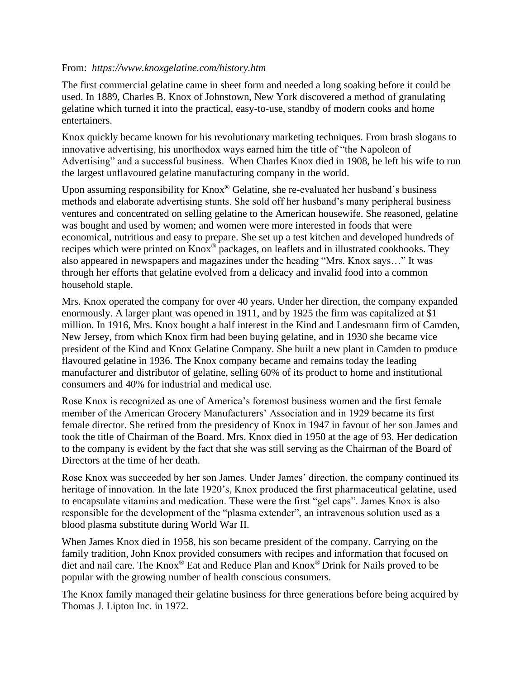## From: *https://www.knoxgelatine.com/history.htm*

The first commercial gelatine came in sheet form and needed a long soaking before it could be used. In 1889, Charles B. Knox of Johnstown, New York discovered a method of granulating gelatine which turned it into the practical, easy-to-use, standby of modern cooks and home entertainers.

Knox quickly became known for his revolutionary marketing techniques. From brash slogans to innovative advertising, his unorthodox ways earned him the title of "the Napoleon of Advertising" and a successful business. When Charles Knox died in 1908, he left his wife to run the largest unflavoured gelatine manufacturing company in the world.

Upon assuming responsibility for Knox® Gelatine, she re-evaluated her husband's business methods and elaborate advertising stunts. She sold off her husband's many peripheral business ventures and concentrated on selling gelatine to the American housewife. She reasoned, gelatine was bought and used by women; and women were more interested in foods that were economical, nutritious and easy to prepare. She set up a test kitchen and developed hundreds of recipes which were printed on Knox® packages, on leaflets and in illustrated cookbooks. They also appeared in newspapers and magazines under the heading "Mrs. Knox says…" It was through her efforts that gelatine evolved from a delicacy and invalid food into a common household staple.

Mrs. Knox operated the company for over 40 years. Under her direction, the company expanded enormously. A larger plant was opened in 1911, and by 1925 the firm was capitalized at \$1 million. In 1916, Mrs. Knox bought a half interest in the Kind and Landesmann firm of Camden, New Jersey, from which Knox firm had been buying gelatine, and in 1930 she became vice president of the Kind and Knox Gelatine Company. She built a new plant in Camden to produce flavoured gelatine in 1936. The Knox company became and remains today the leading manufacturer and distributor of gelatine, selling 60% of its product to home and institutional consumers and 40% for industrial and medical use.

Rose Knox is recognized as one of America's foremost business women and the first female member of the American Grocery Manufacturers' Association and in 1929 became its first female director. She retired from the presidency of Knox in 1947 in favour of her son James and took the title of Chairman of the Board. Mrs. Knox died in 1950 at the age of 93. Her dedication to the company is evident by the fact that she was still serving as the Chairman of the Board of Directors at the time of her death.

Rose Knox was succeeded by her son James. Under James' direction, the company continued its heritage of innovation. In the late 1920's, Knox produced the first pharmaceutical gelatine, used to encapsulate vitamins and medication. These were the first "gel caps". James Knox is also responsible for the development of the "plasma extender", an intravenous solution used as a blood plasma substitute during World War II.

When James Knox died in 1958, his son became president of the company. Carrying on the family tradition, John Knox provided consumers with recipes and information that focused on diet and nail care. The Knox® Eat and Reduce Plan and Knox® Drink for Nails proved to be popular with the growing number of health conscious consumers.

The Knox family managed their gelatine business for three generations before being acquired by Thomas J. Lipton Inc. in 1972.